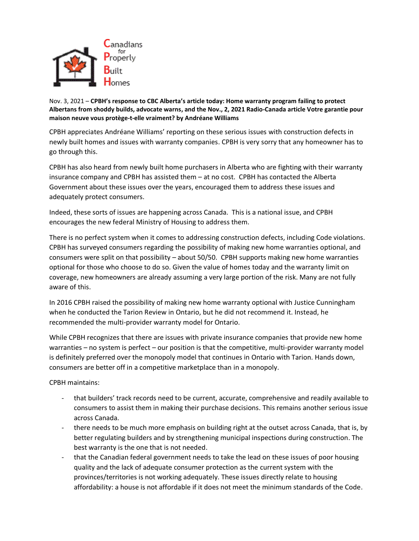

Nov. 3, 2021 – **CPBH's response to CBC Alberta's article today: Home warranty program failing to protect Albertans from shoddy builds, advocate warns, and the Nov., 2, 2021 Radio-Canada article Votre garantie pour maison neuve vous protège-t-elle vraiment? by Andréane Williams**

CPBH appreciates Andréane Williams' reporting on these serious issues with construction defects in newly built homes and issues with warranty companies. CPBH is very sorry that any homeowner has to go through this.

CPBH has also heard from newly built home purchasers in Alberta who are fighting with their warranty insurance company and CPBH has assisted them – at no cost. CPBH has contacted the Alberta Government about these issues over the years, encouraged them to address these issues and adequately protect consumers.

Indeed, these sorts of issues are happening across Canada. This is a national issue, and CPBH encourages the new federal Ministry of Housing to address them.

There is no perfect system when it comes to addressing construction defects, including Code violations. CPBH has surveyed consumers regarding the possibility of making new home warranties optional, and consumers were split on that possibility – about 50/50. CPBH supports making new home warranties optional for those who choose to do so. Given the value of homes today and the warranty limit on coverage, new homeowners are already assuming a very large portion of the risk. Many are not fully aware of this.

In 2016 CPBH raised the possibility of making new home warranty optional with Justice Cunningham when he conducted the Tarion Review in Ontario, but he did not recommend it. Instead, he recommended the multi-provider warranty model for Ontario.

While CPBH recognizes that there are issues with private insurance companies that provide new home warranties – no system is perfect – our position is that the competitive, multi-provider warranty model is definitely preferred over the monopoly model that continues in Ontario with Tarion. Hands down, consumers are better off in a competitive marketplace than in a monopoly.

CPBH maintains:

- that builders' track records need to be current, accurate, comprehensive and readily available to consumers to assist them in making their purchase decisions. This remains another serious issue across Canada.
- there needs to be much more emphasis on building right at the outset across Canada, that is, by better regulating builders and by strengthening municipal inspections during construction. The best warranty is the one that is not needed.
- that the Canadian federal government needs to take the lead on these issues of poor housing quality and the lack of adequate consumer protection as the current system with the provinces/territories is not working adequately. These issues directly relate to housing affordability: a house is not affordable if it does not meet the minimum standards of the Code.